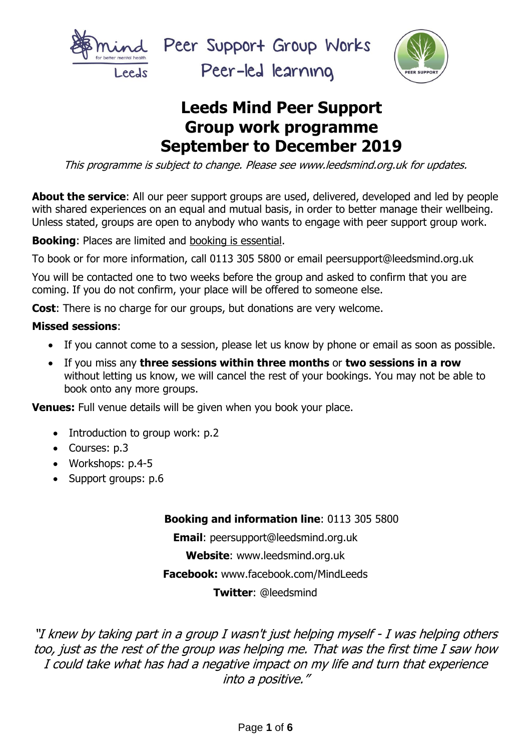

Peer Support Group Works

Peer-led learning



# **Leeds Mind Peer Support Group work programme September to December 2019**

This programme is subject to change. Please see www.leedsmind.org.uk for updates.

**About the service**: All our peer support groups are used, delivered, developed and led by people with shared experiences on an equal and mutual basis, in order to better manage their wellbeing. Unless stated, groups are open to anybody who wants to engage with peer support group work.

**Booking**: Places are limited and booking is essential.

To book or for more information, call 0113 305 5800 or email peersupport@leedsmind.org.uk

You will be contacted one to two weeks before the group and asked to confirm that you are coming. If you do not confirm, your place will be offered to someone else.

**Cost**: There is no charge for our groups, but donations are very welcome.

#### **Missed sessions**:

- If you cannot come to a session, please let us know by phone or email as soon as possible.
- If you miss any **three sessions within three months** or **two sessions in a row** without letting us know, we will cancel the rest of your bookings. You may not be able to book onto any more groups.

**Venues:** Full venue details will be given when you book your place.

- Introduction to group work: p.2
- Courses: p.3
- Workshops: p.4-5
- Support groups: p.6

#### **Booking and information line**: 0113 305 5800

**Email**: peersupport@leedsmind.org.uk **Website**: www.leedsmind.org.uk **Facebook:** www.facebook.com/MindLeeds **Twitter**: @leedsmind

"I knew by taking part in a group I wasn't just helping myself - I was helping others too, just as the rest of the group was helping me. That was the first time I saw how I could take what has had a negative impact on my life and turn that experience into a positive."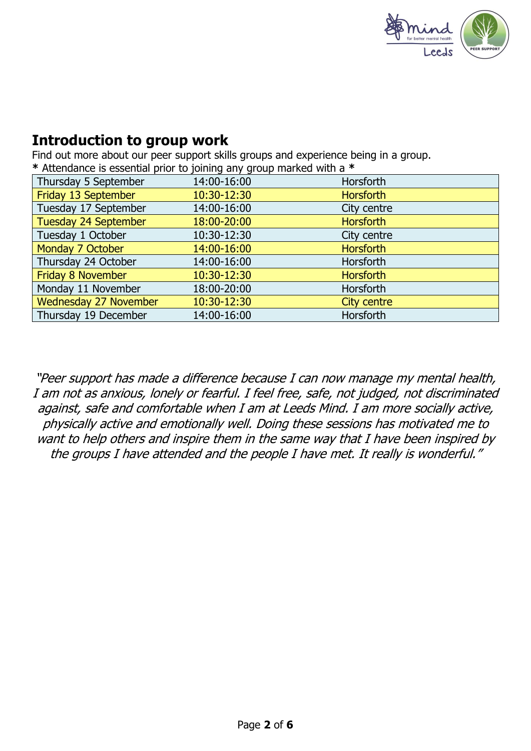

#### **Introduction to group work**

Find out more about our peer support skills groups and experience being in a group. **\*** Attendance is essential prior to joining any group marked with a **\***

| 14:00-16:00 | Horsforth                                                                                                                      |
|-------------|--------------------------------------------------------------------------------------------------------------------------------|
| 10:30-12:30 | <b>Horsforth</b>                                                                                                               |
| 14:00-16:00 | City centre                                                                                                                    |
| 18:00-20:00 | <b>Horsforth</b>                                                                                                               |
| 10:30-12:30 | City centre                                                                                                                    |
| 14:00-16:00 | <b>Horsforth</b>                                                                                                               |
| 14:00-16:00 | <b>Horsforth</b>                                                                                                               |
| 10:30-12:30 | <b>Horsforth</b>                                                                                                               |
| 18:00-20:00 | Horsforth                                                                                                                      |
| 10:30-12:30 | City centre                                                                                                                    |
| 14:00-16:00 | Horsforth                                                                                                                      |
|             | $\frac{1}{2}$ and $\frac{1}{2}$ is the second form of $\frac{1}{2}$ . The state $\frac{1}{2}$ is the second form $\frac{1}{2}$ |

"Peer support has made a difference because I can now manage my mental health, I am not as anxious, lonely or fearful. I feel free, safe, not judged, not discriminated against, safe and comfortable when I am at Leeds Mind. I am more socially active, physically active and emotionally well. Doing these sessions has motivated me to want to help others and inspire them in the same way that I have been inspired by the groups I have attended and the people I have met. It really is wonderful."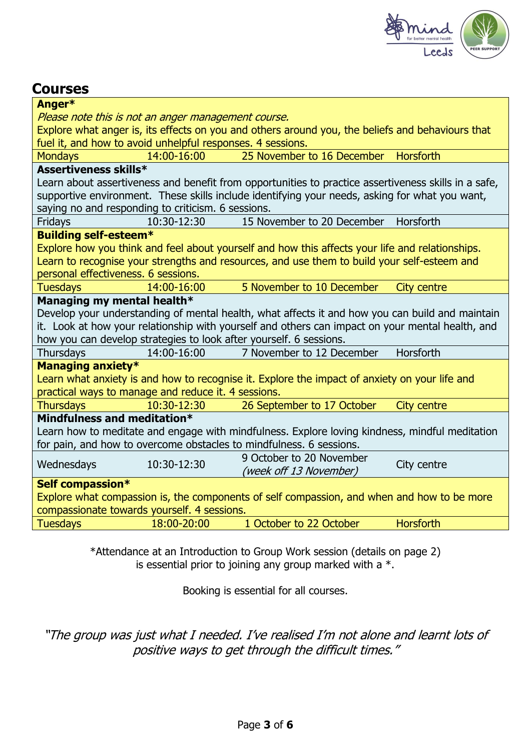

### **Courses**

| Anger*                                                                                         |             |                                                                                                      |                    |
|------------------------------------------------------------------------------------------------|-------------|------------------------------------------------------------------------------------------------------|--------------------|
| Please note this is not an anger management course.                                            |             |                                                                                                      |                    |
|                                                                                                |             | Explore what anger is, its effects on you and others around you, the beliefs and behaviours that     |                    |
| fuel it, and how to avoid unhelpful responses. 4 sessions.                                     |             |                                                                                                      |                    |
| <b>Mondays</b>                                                                                 | 14:00-16:00 | 25 November to 16 December                                                                           | <b>Horsforth</b>   |
| Assertiveness skills*                                                                          |             |                                                                                                      |                    |
|                                                                                                |             | Learn about assertiveness and benefit from opportunities to practice assertiveness skills in a safe, |                    |
|                                                                                                |             | supportive environment. These skills include identifying your needs, asking for what you want,       |                    |
| saying no and responding to criticism. 6 sessions.                                             |             |                                                                                                      |                    |
| Fridays                                                                                        | 10:30-12:30 | 15 November to 20 December                                                                           | Horsforth          |
| <b>Building self-esteem*</b>                                                                   |             |                                                                                                      |                    |
|                                                                                                |             | Explore how you think and feel about yourself and how this affects your life and relationships.      |                    |
|                                                                                                |             | Learn to recognise your strengths and resources, and use them to build your self-esteem and          |                    |
| personal effectiveness. 6 sessions.                                                            |             |                                                                                                      |                    |
| <b>Tuesdays</b>                                                                                | 14:00-16:00 | 5 November to 10 December                                                                            | <b>City centre</b> |
| Managing my mental health*                                                                     |             |                                                                                                      |                    |
|                                                                                                |             | Develop your understanding of mental health, what affects it and how you can build and maintain      |                    |
|                                                                                                |             | it. Look at how your relationship with yourself and others can impact on your mental health, and     |                    |
| how you can develop strategies to look after yourself. 6 sessions.                             |             |                                                                                                      |                    |
| Thursdays                                                                                      | 14:00-16:00 | 7 November to 12 December                                                                            | Horsforth          |
| <b>Managing anxiety*</b>                                                                       |             |                                                                                                      |                    |
|                                                                                                |             | Learn what anxiety is and how to recognise it. Explore the impact of anxiety on your life and        |                    |
| practical ways to manage and reduce it. 4 sessions.                                            |             |                                                                                                      |                    |
| <b>Thursdays</b>                                                                               | 10:30-12:30 | 26 September to 17 October                                                                           | <b>City centre</b> |
| Mindfulness and meditation*                                                                    |             |                                                                                                      |                    |
| Learn how to meditate and engage with mindfulness. Explore loving kindness, mindful meditation |             |                                                                                                      |                    |
| for pain, and how to overcome obstacles to mindfulness. 6 sessions.                            |             |                                                                                                      |                    |
| Wednesdays                                                                                     | 10:30-12:30 | 9 October to 20 November                                                                             | City centre        |
|                                                                                                |             | (week off 13 November)                                                                               |                    |
| Self compassion*                                                                               |             |                                                                                                      |                    |
| Explore what compassion is, the components of self compassion, and when and how to be more     |             |                                                                                                      |                    |
| compassionate towards yourself. 4 sessions.                                                    |             |                                                                                                      |                    |
| <b>Tuesdays</b>                                                                                | 18:00-20:00 | 1 October to 22 October                                                                              | <b>Horsforth</b>   |
|                                                                                                |             |                                                                                                      |                    |

\*Attendance at an Introduction to Group Work session (details on page 2) is essential prior to joining any group marked with a  $*$ .

Booking is essential for all courses.

"The group was just what I needed. I've realised I'm not alone and learnt lots of positive ways to get through the difficult times."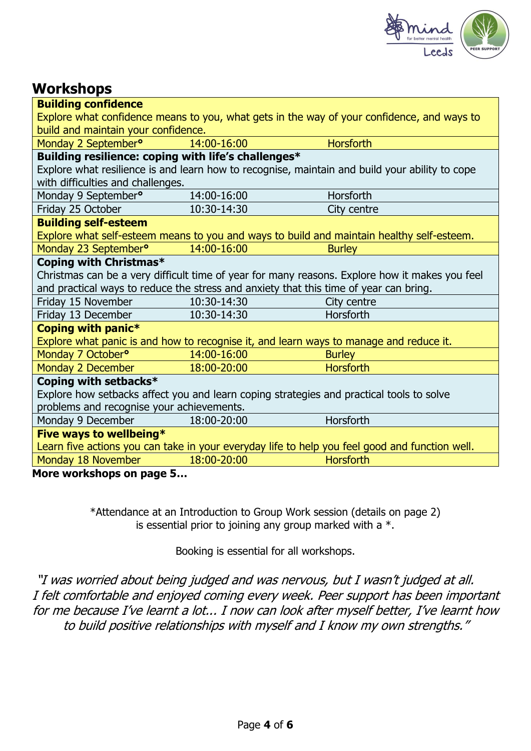

## **Workshops**

| <b>Building confidence</b>                                                                     |             |                                                                                                |  |
|------------------------------------------------------------------------------------------------|-------------|------------------------------------------------------------------------------------------------|--|
|                                                                                                |             | Explore what confidence means to you, what gets in the way of your confidence, and ways to     |  |
| build and maintain your confidence.                                                            |             |                                                                                                |  |
| Monday 2 September <sup>o</sup>                                                                | 14:00-16:00 | <b>Horsforth</b>                                                                               |  |
| Building resilience: coping with life's challenges*                                            |             |                                                                                                |  |
|                                                                                                |             | Explore what resilience is and learn how to recognise, maintain and build your ability to cope |  |
| with difficulties and challenges.                                                              |             |                                                                                                |  |
| Monday 9 September <sup>o</sup>                                                                | 14:00-16:00 | Horsforth                                                                                      |  |
| Friday 25 October                                                                              | 10:30-14:30 | City centre                                                                                    |  |
| <b>Building self-esteem</b>                                                                    |             |                                                                                                |  |
| Explore what self-esteem means to you and ways to build and maintain healthy self-esteem.      |             |                                                                                                |  |
| Monday 23 September <sup>o</sup>                                                               | 14:00-16:00 | <b>Burley</b>                                                                                  |  |
| Coping with Christmas*                                                                         |             |                                                                                                |  |
|                                                                                                |             | Christmas can be a very difficult time of year for many reasons. Explore how it makes you feel |  |
| and practical ways to reduce the stress and anxiety that this time of year can bring.          |             |                                                                                                |  |
| Friday 15 November                                                                             | 10:30-14:30 | City centre                                                                                    |  |
| Friday 13 December                                                                             | 10:30-14:30 | Horsforth                                                                                      |  |
| Coping with panic*                                                                             |             |                                                                                                |  |
| Explore what panic is and how to recognise it, and learn ways to manage and reduce it.         |             |                                                                                                |  |
| Monday 7 October <sup>o</sup>                                                                  | 14:00-16:00 | <b>Burley</b>                                                                                  |  |
| Monday 2 December                                                                              | 18:00-20:00 | <b>Horsforth</b>                                                                               |  |
| Coping with setbacks*                                                                          |             |                                                                                                |  |
| Explore how setbacks affect you and learn coping strategies and practical tools to solve       |             |                                                                                                |  |
| problems and recognise your achievements.                                                      |             |                                                                                                |  |
| Monday 9 December                                                                              | 18:00-20:00 | Horsforth                                                                                      |  |
| Five ways to wellbeing*                                                                        |             |                                                                                                |  |
| Learn five actions you can take in your everyday life to help you feel good and function well. |             |                                                                                                |  |
| Monday 18 November                                                                             | 18:00-20:00 | <b>Horsforth</b>                                                                               |  |
| Mara warkahana an naga E                                                                       |             |                                                                                                |  |

**More workshops on page 5…**

\*Attendance at an Introduction to Group Work session (details on page 2) is essential prior to joining any group marked with a  $*$ .

Booking is essential for all workshops.

"I was worried about being judged and was nervous, but I wasn't judged at all. I felt comfortable and enjoyed coming every week. Peer support has been important for me because I've learnt a lot... I now can look after myself better, I've learnt how to build positive relationships with myself and I know my own strengths."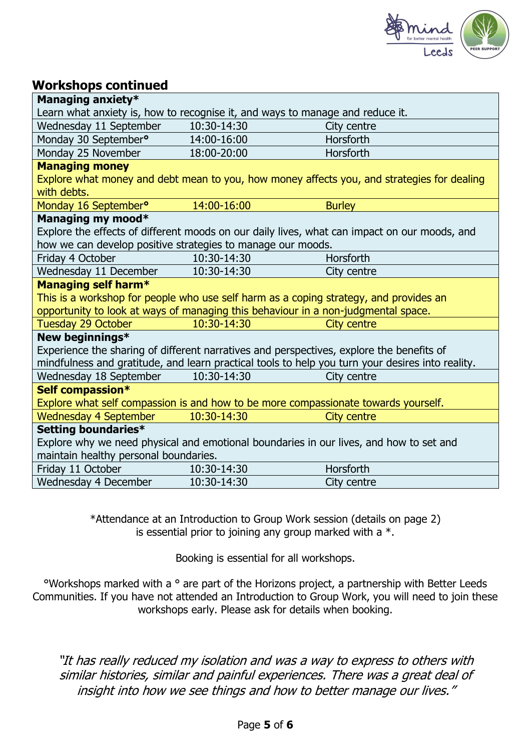

#### **Workshops continued**

| Managing anxiety*                                                                                |             |                                                                                              |  |
|--------------------------------------------------------------------------------------------------|-------------|----------------------------------------------------------------------------------------------|--|
| Learn what anxiety is, how to recognise it, and ways to manage and reduce it.                    |             |                                                                                              |  |
| Wednesday 11 September                                                                           | 10:30-14:30 | City centre                                                                                  |  |
| Monday 30 September <sup>o</sup>                                                                 | 14:00-16:00 | Horsforth                                                                                    |  |
| Monday 25 November                                                                               | 18:00-20:00 | Horsforth                                                                                    |  |
| <b>Managing money</b>                                                                            |             |                                                                                              |  |
|                                                                                                  |             | Explore what money and debt mean to you, how money affects you, and strategies for dealing   |  |
| with debts.                                                                                      |             |                                                                                              |  |
| Monday 16 September <sup>o</sup>                                                                 | 14:00-16:00 | <b>Burley</b>                                                                                |  |
| Managing my mood*                                                                                |             |                                                                                              |  |
|                                                                                                  |             | Explore the effects of different moods on our daily lives, what can impact on our moods, and |  |
| how we can develop positive strategies to manage our moods.                                      |             |                                                                                              |  |
| Friday 4 October                                                                                 | 10:30-14:30 | Horsforth                                                                                    |  |
| Wednesday 11 December                                                                            | 10:30-14:30 | City centre                                                                                  |  |
| <b>Managing self harm*</b>                                                                       |             |                                                                                              |  |
| This is a workshop for people who use self harm as a coping strategy, and provides an            |             |                                                                                              |  |
| opportunity to look at ways of managing this behaviour in a non-judgmental space.                |             |                                                                                              |  |
| <b>Tuesday 29 October</b>                                                                        | 10:30-14:30 | City centre                                                                                  |  |
| New beginnings*                                                                                  |             |                                                                                              |  |
| Experience the sharing of different narratives and perspectives, explore the benefits of         |             |                                                                                              |  |
| mindfulness and gratitude, and learn practical tools to help you turn your desires into reality. |             |                                                                                              |  |
| Wednesday 18 September                                                                           | 10:30-14:30 | City centre                                                                                  |  |
| Self compassion*                                                                                 |             |                                                                                              |  |
| Explore what self compassion is and how to be more compassionate towards yourself.               |             |                                                                                              |  |
| <b>Wednesday 4 September</b>                                                                     | 10:30-14:30 | <b>City centre</b>                                                                           |  |
| Setting boundaries*                                                                              |             |                                                                                              |  |
| Explore why we need physical and emotional boundaries in our lives, and how to set and           |             |                                                                                              |  |
| maintain healthy personal boundaries.                                                            |             |                                                                                              |  |
| Friday 11 October                                                                                | 10:30-14:30 | Horsforth                                                                                    |  |
| Wednesday 4 December                                                                             | 10:30-14:30 | City centre                                                                                  |  |

\*Attendance at an Introduction to Group Work session (details on page 2) is essential prior to joining any group marked with a  $*$ .

Booking is essential for all workshops.

°Workshops marked with a ° are part of the Horizons project, a partnership with Better Leeds Communities. If you have not attended an Introduction to Group Work, you will need to join these workshops early. Please ask for details when booking.

"It has really reduced my isolation and was a way to express to others with similar histories, similar and painful experiences. There was a great deal of insight into how we see things and how to better manage our lives."